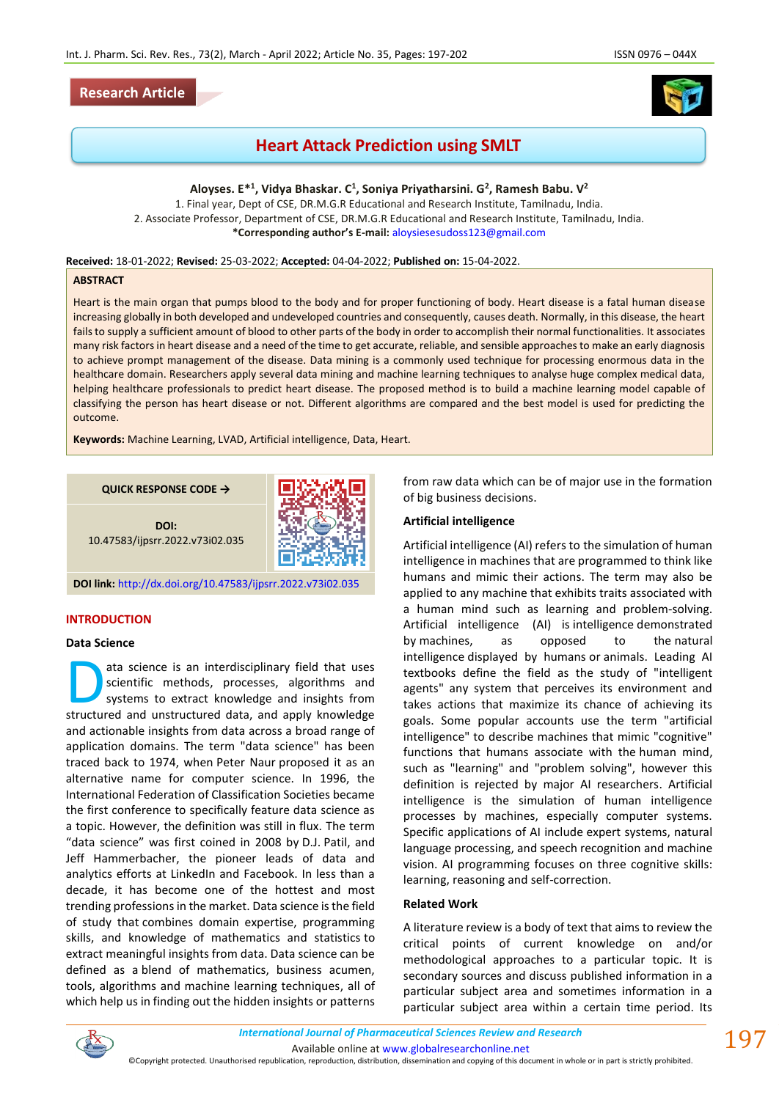# **Research Article**



# **Heart Attack Prediction using SMLT**

**Aloyses. E\* 1 , Vidya Bhaskar. C<sup>1</sup> , Soniya Priyatharsini. G<sup>2</sup> , Ramesh Babu. V<sup>2</sup>**

1. Final year, Dept of CSE, DR.M.G.R Educational and Research Institute, Tamilnadu, India. 2. Associate Professor, Department of CSE, DR.M.G.R Educational and Research Institute, Tamilnadu, India. **\*Corresponding author's E-mail:** [aloysiesesudoss123@gmail.com](mailto:aloysiesesudoss123@gmail.com)

**Received:** 18-01-2022; **Revised:** 25-03-2022; **Accepted:** 04-04-2022; **Published on:** 15-04-2022.

## **ABSTRACT**

Heart is the main organ that pumps blood to the body and for proper functioning of body. Heart disease is a fatal human disease increasing globally in both developed and undeveloped countries and consequently, causes death. Normally, in this disease, the heart fails to supply a sufficient amount of blood to other parts of the body in order to accomplish their normal functionalities. It associates many risk factors in heart disease and a need of the time to get accurate, reliable, and sensible approaches to make an early diagnosis to achieve prompt management of the disease. Data mining is a commonly used technique for processing enormous data in the healthcare domain. Researchers apply several data mining and machine learning techniques to analyse huge complex medical data, helping healthcare professionals to predict heart disease. The proposed method is to build a machine learning model capable of classifying the person has heart disease or not. Different algorithms are compared and the best model is used for predicting the outcome.

**Keywords:** Machine Learning, LVAD, Artificial intelligence, Data, Heart.

**QUICK RESPONSE CODE →**



**DOI:** 10.47583/ijpsrr.2022.v73i02.035

**DOI link:** <http://dx.doi.org/10.47583/ijpsrr.2022.v73i02.035>

### **INTRODUCTION**

#### **Data Science**

ata science is an interdisciplinary field that uses scientific methods, processes, algorithms and systems to extract knowledge and insights from ata science is an interdisciplinary field that uses<br>scientific methods, processes, algorithms and<br>systems to extract knowledge and insights from<br>structured and unstructured data, and apply knowledge and actionable insights from data across a broad range of application domains. The term "data science" has been traced back to 1974, when Peter Naur proposed it as an alternative name for computer science. In 1996, the International Federation of Classification Societies became the first conference to specifically feature data science as a topic. However, the definition was still in flux. The term "data science" was first coined in 2008 by D.J. Patil, and Jeff Hammerbacher, the pioneer leads of data and analytics efforts at LinkedIn and Facebook. In less than a decade, it has become one of the hottest and most trending professions in the market. Data science is the field of study that combines domain expertise, programming skills, and knowledge of mathematics and statistics to extract meaningful insights from data. Data science can be defined as a blend of mathematics, business acumen, tools, algorithms and machine learning techniques, all of which help us in finding out the hidden insights or patterns from raw data which can be of major use in the formation of big business decisions.

## **Artificial intelligence**

Artificial intelligence (AI) refers to the simulation of human intelligence in machines that are programmed to think like humans and mimic their actions. The term may also be applied to any machine that exhibits traits associated with a human mind such as learning and problem-solving. Artificial intelligence (AI) is intelligence demonstrated by machines, as opposed to the natural intelligence displayed by humans or animals. Leading AI textbooks define the field as the study of "intelligent agents" any system that perceives its environment and takes actions that maximize its chance of achieving its goals. Some popular accounts use the term "artificial intelligence" to describe machines that mimic "cognitive" functions that humans associate with the human mind, such as "learning" and "problem solving", however this definition is rejected by major AI researchers. Artificial intelligence is the simulation of human intelligence processes by machines, especially computer systems. Specific applications of AI include expert systems, natural language processing, and speech recognition and machine vision. AI programming focuses on three cognitive skills: learning, reasoning and self-correction.

## **Related Work**

A literature review is a body of text that aims to review the critical points of current knowledge on and/or methodological approaches to a particular topic. It is secondary sources and discuss published information in a particular subject area and sometimes information in a particular subject area within a certain time period. Its



Available online a[t www.globalresearchonline.net](http://www.globalresearchonline.net/)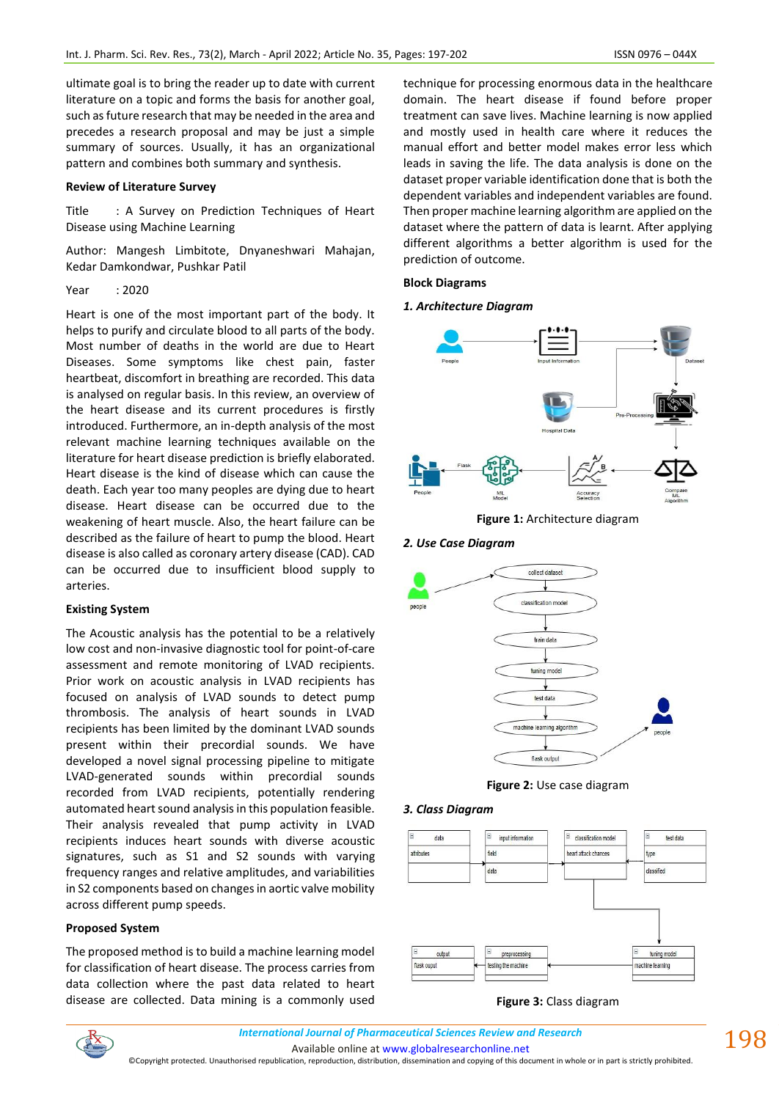ultimate goal is to bring the reader up to date with current literature on a topic and forms the basis for another goal, such as future research that may be needed in the area and precedes a research proposal and may be just a simple summary of sources. Usually, it has an organizational pattern and combines both summary and synthesis.

### **Review of Literature Survey**

Title : A Survey on Prediction Techniques of Heart Disease using Machine Learning

Author: Mangesh Limbitote, Dnyaneshwari Mahajan, Kedar Damkondwar, Pushkar Patil

### Year : 2020

Heart is one of the most important part of the body. It helps to purify and circulate blood to all parts of the body. Most number of deaths in the world are due to Heart Diseases. Some symptoms like chest pain, faster heartbeat, discomfort in breathing are recorded. This data is analysed on regular basis. In this review, an overview of the heart disease and its current procedures is firstly introduced. Furthermore, an in-depth analysis of the most relevant machine learning techniques available on the literature for heart disease prediction is briefly elaborated. Heart disease is the kind of disease which can cause the death. Each year too many peoples are dying due to heart disease. Heart disease can be occurred due to the weakening of heart muscle. Also, the heart failure can be described as the failure of heart to pump the blood. Heart disease is also called as coronary artery disease (CAD). CAD can be occurred due to insufficient blood supply to arteries.

### **Existing System**

The Acoustic analysis has the potential to be a relatively low cost and non-invasive diagnostic tool for point-of-care assessment and remote monitoring of LVAD recipients. Prior work on acoustic analysis in LVAD recipients has focused on analysis of LVAD sounds to detect pump thrombosis. The analysis of heart sounds in LVAD recipients has been limited by the dominant LVAD sounds present within their precordial sounds. We have developed a novel signal processing pipeline to mitigate LVAD-generated sounds within precordial sounds recorded from LVAD recipients, potentially rendering automated heart sound analysis in this population feasible. Their analysis revealed that pump activity in LVAD recipients induces heart sounds with diverse acoustic signatures, such as S1 and S2 sounds with varying frequency ranges and relative amplitudes, and variabilities in S2 components based on changes in aortic valve mobility across different pump speeds.

### **Proposed System**

The proposed method is to build a machine learning model for classification of heart disease. The process carries from data collection where the past data related to heart disease are collected. Data mining is a commonly used

technique for processing enormous data in the healthcare domain. The heart disease if found before proper treatment can save lives. Machine learning is now applied and mostly used in health care where it reduces the manual effort and better model makes error less which leads in saving the life. The data analysis is done on the dataset proper variable identification done that is both the dependent variables and independent variables are found. Then proper machine learning algorithm are applied on the dataset where the pattern of data is learnt. After applying different algorithms a better algorithm is used for the prediction of outcome.

## **Block Diagrams**

## *1. Architecture Diagram*



**Figure 1:** Architecture diagram

## *2. Use Case Diagram*



**Figure 2:** Use case diagram

### *3. Class Diagram*



### **Figure 3:** Class diagram



Available online a[t www.globalresearchonline.net](http://www.globalresearchonline.net/)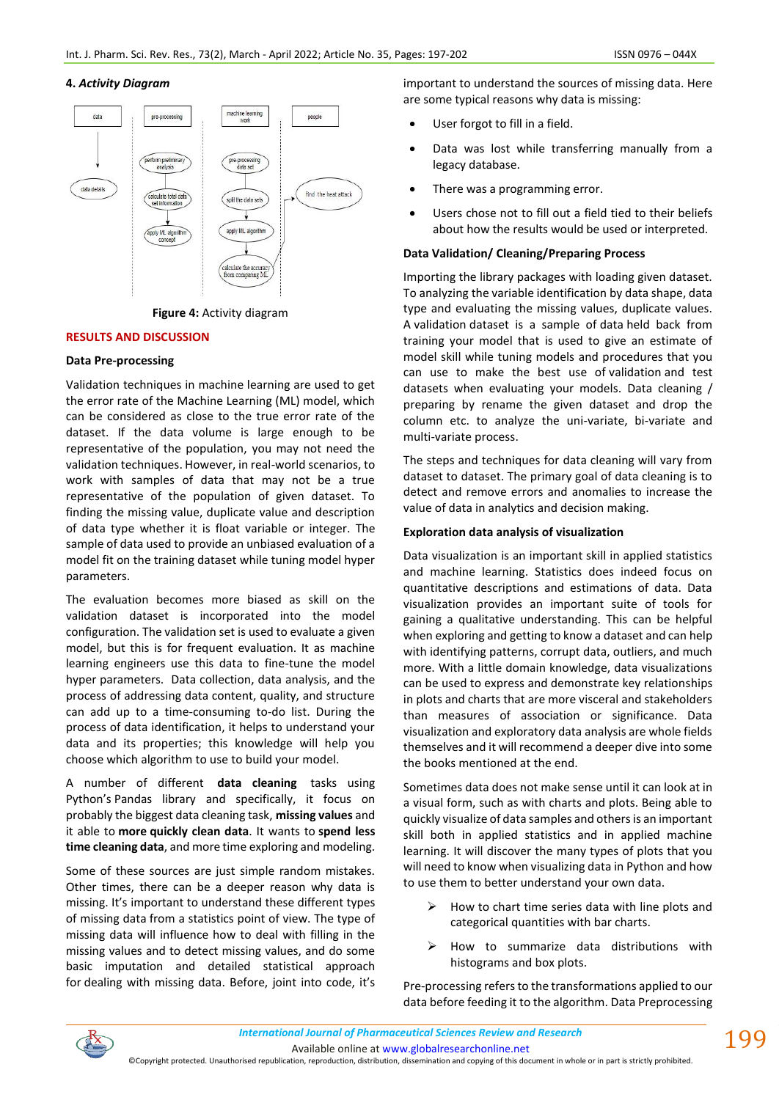## **4.** *Activity Diagram*





## **RESULTS AND DISCUSSION**

### **Data Pre-processing**

Validation techniques in machine learning are used to get the error rate of the Machine Learning (ML) model, which can be considered as close to the true error rate of the dataset. If the data volume is large enough to be representative of the population, you may not need the validation techniques. However, in real-world scenarios, to work with samples of data that may not be a true representative of the population of given dataset. To finding the missing value, duplicate value and description of data type whether it is float variable or integer. The sample of data used to provide an unbiased evaluation of a model fit on the training dataset while tuning model hyper parameters.

The evaluation becomes more biased as skill on the validation dataset is incorporated into the model configuration. The validation set is used to evaluate a given model, but this is for frequent evaluation. It as machine learning engineers use this data to fine-tune the model hyper parameters. Data collection, data analysis, and the process of addressing data content, quality, and structure can add up to a time-consuming to-do list. During the process of data identification, it helps to understand your data and its properties; this knowledge will help you choose which algorithm to use to build your model.

A number of different **data cleaning** tasks using Python's Pandas library and specifically, it focus on probably the biggest data cleaning task, **missing values** and it able to **more quickly clean data**. It wants to **spend less time cleaning data**, and more time exploring and modeling.

Some of these sources are just simple random mistakes. Other times, there can be a deeper reason why data is missing. It's important to understand these different types of missing data from a statistics point of view. The type of missing data will influence how to deal with filling in the missing values and to detect missing values, and do some basic imputation and detailed statistical approach for dealing with missing data. Before, joint into code, it's important to understand the sources of missing data. Here are some typical reasons why data is missing:

- User forgot to fill in a field.
- Data was lost while transferring manually from a legacy database.
- There was a programming error.
- Users chose not to fill out a field tied to their beliefs about how the results would be used or interpreted.

## **Data Validation/ Cleaning/Preparing Process**

Importing the library packages with loading given dataset. To analyzing the variable identification by data shape, data type and evaluating the missing values, duplicate values. A validation dataset is a sample of data held back from training your model that is used to give an estimate of model skill while tuning models and procedures that you can use to make the best use of validation and test datasets when evaluating your models. Data cleaning / preparing by rename the given dataset and drop the column etc. to analyze the uni-variate, bi-variate and multi-variate process.

The steps and techniques for data cleaning will vary from dataset to dataset. The primary goal of data cleaning is to detect and remove errors and anomalies to increase the value of data in analytics and decision making.

### **Exploration data analysis of visualization**

Data visualization is an important skill in applied statistics and machine learning. Statistics does indeed focus on quantitative descriptions and estimations of data. Data visualization provides an important suite of tools for gaining a qualitative understanding. This can be helpful when exploring and getting to know a dataset and can help with identifying patterns, corrupt data, outliers, and much more. With a little domain knowledge, data visualizations can be used to express and demonstrate key relationships in plots and charts that are more visceral and stakeholders than measures of association or significance. Data visualization and exploratory data analysis are whole fields themselves and it will recommend a deeper dive into some the books mentioned at the end.

Sometimes data does not make sense until it can look at in a visual form, such as with charts and plots. Being able to quickly visualize of data samples and others is an important skill both in applied statistics and in applied machine learning. It will discover the many types of plots that you will need to know when visualizing data in Python and how to use them to better understand your own data.

- $\triangleright$  How to chart time series data with line plots and categorical quantities with bar charts.
- ➢ How to summarize data distributions with histograms and box plots.

Pre-processing refers to the transformations applied to our data before feeding it to the algorithm. Data Preprocessing



Available online a[t www.globalresearchonline.net](http://www.globalresearchonline.net/)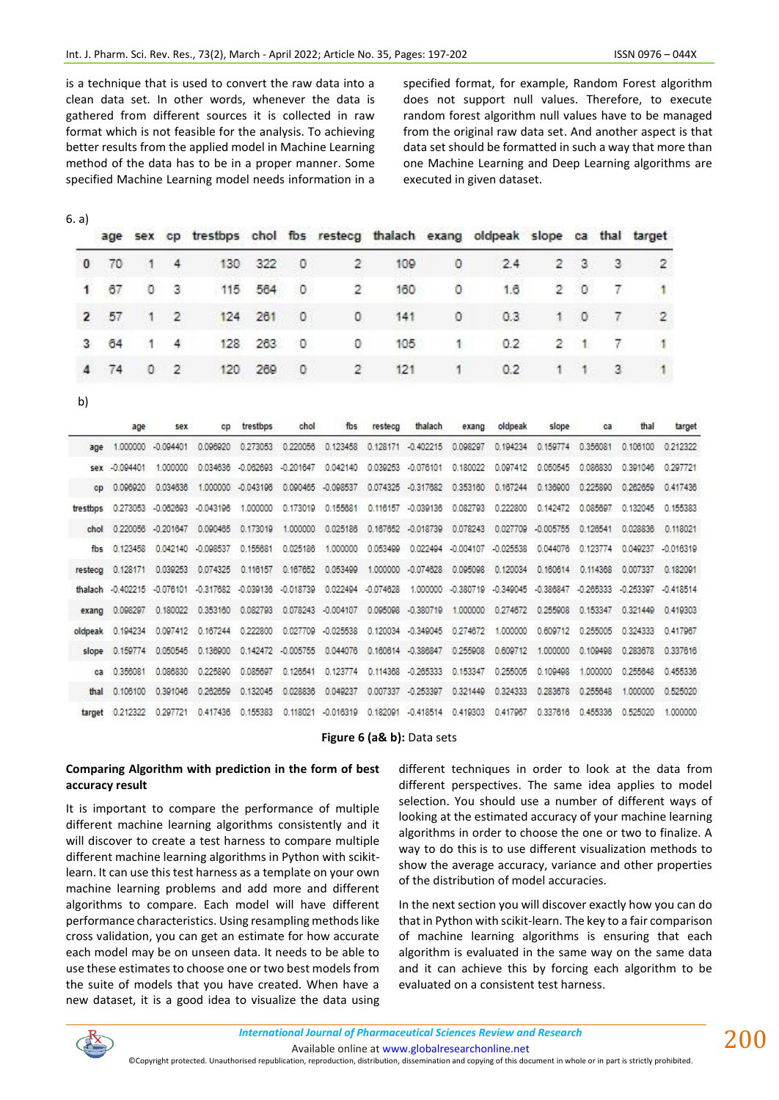is a technique that is used to convert the raw data into a clean data set. In other words, whenever the data is gathered from different sources it is collected in raw format which is not feasible for the analysis. To achieving better results from the applied model in Machine Learning method of the data has to be in a proper manner. Some specified Machine Learning model needs information in a

specified format, for example, Random Forest algorithm does not support null values. Therefore, to execute random forest algorithm null values have to be managed from the original raw data set. And another aspect is that data set should be formatted in such a way that more than one Machine Learning and Deep Learning algorithms are executed in given dataset.

|              |      |              |                | age sex op trestbps ohol fbs resteog thalach exang oldpeak slope ca thal target |         |          |   |     |              |     |    |                |                |               |
|--------------|------|--------------|----------------|---------------------------------------------------------------------------------|---------|----------|---|-----|--------------|-----|----|----------------|----------------|---------------|
| $\mathbf{0}$ | -70  | $\cdot$ 1    | $\overline{4}$ | 130                                                                             | 322     | $\circ$  | 2 | 109 | 0            | 2.4 | 2. | - 3            | -3             | 2             |
| 1.           | 67   | 10           | - 31           | 115                                                                             | 564     | 0        | 2 | 160 | 0            | 1.6 |    | $2 \quad 0$    | 7.             |               |
|              | 2 57 | $\mathbf{1}$ | $\sim$ 2       |                                                                                 | 124 261 | $\theta$ | 0 | 141 | $\mathbf{0}$ | 0.3 | 11 | $\overline{0}$ | $\mathbf{7}$   | $\mathcal{D}$ |
| 3.           | -64  |              | 4              | 128                                                                             | 263     | - 0      | 0 | 105 | $\mathbf{1}$ | 0.2 | 2  | -848           | 7 <sup>1</sup> | - 11          |
| 4            | 74   | $\circ$      | $\overline{2}$ | 120                                                                             | 269     | $\circ$  | 2 | 121 | 1            | 0.2 | 1  | $-1$           | 3 <sup>2</sup> | $\mathbf{1}$  |

b)

|                      | age         | sex         | CD.         | trestbps    | chol               | fbs                | restecg     | thalach            | exang              | oldpeak             | slope       | ca          | thal        | target      |
|----------------------|-------------|-------------|-------------|-------------|--------------------|--------------------|-------------|--------------------|--------------------|---------------------|-------------|-------------|-------------|-------------|
| age                  | 1.000000    | $-0.094401$ | 0.096920    | 0.273053    | 0.220056           | 0.123458           | 0.128171    | $-0.402215$        | 0.098297           | 0.194234            | 0.159774    | 0.356081    | 0.106100    | 0.212322    |
| Sex                  | $-0.094401$ | 1.000000    | 0.034636    | $-0.062693$ | $-0.201647$        | 0.042140           | 0.039253    | $-0.076101$        | 0.180022           | 0.097412            | 0.050545    | 0.086830    | 0.391046    | 0.297721    |
| cn                   | 0.096920    | 0.034636    | 1,000000    | $-0.043196$ | 0.090465           | $-0.098537$        | 0.074325    | $-0.317682$        | 0.353160           | 0.167244            | 0.136900    | 0.225890    | 0.262659    | 0.417436    |
| trestbos             | 0.273053    | $-0.082693$ | $-0.043196$ | 1.000000    | 0.173019           | 0.155681           | 0.116157    | $-0.039136$        | 0.082793           | 0.222800            | 0.142472    | 0.085697    | 0.132045    | 0.155383    |
|                      | 0.220056    | $-0.201647$ | 0.090465    | 0.173019    | 1,000000           | 0.025186           | 0.167652    | $-0.018739$        | 0.078243           | 0.027709            | $-0.005755$ | 0.126541    | 0.028836    | 0.118021    |
| fh⊆                  | 0.123458    | 0.042140    | $-0.098537$ | 0.155681    | 0.025186           | 1.000000           | 0.053499    |                    | 0.022494 -0.004107 | $-0.025538$         | 0.044076    | 0.123774    | 0.049237    | $-0.016319$ |
| resteca              | 0.128171    | 0.039253    | 0.074325    | 0.116157    | 0.167652           | 0.053499           | 1.000000    | $-0.074628$        | 0.095098           | 0.120034            | 0.160614    | 0.114368    | 0.007337    | 0.182091    |
| thalach              | $-0.402215$ | $-0.076101$ | $-0.317682$ | $-0.039136$ | $-0.018739$        | 0.022494           | $-0.074628$ | 1,000000           |                    | -0.380719 -0.349045 | $-0.386847$ | $-0.265333$ | $-0.253397$ | $-0.418514$ |
| exang                | 0.098297    | 0.180022    | 0.353160    | 0.082793    |                    | 0.078243 -0.004107 |             | 0.095098 -0.380719 | 1.000000           | 0.274672            | 0.255908    | 0.153347    | 0.321449    | 0.419303    |
| oldpeak              | 0.194234    | 0.097412    | 0.167244    | 0.222800    | 0.027709           | $-0.025538$        |             | 0.120034 -0.349045 | 0.274672           | 1,000000            | 0.609712    | 0.255005    | 0.324333    | 0.417967    |
| slope                | 0.159774    | 0.050545    | 0.136900    |             | 0.142472 -0.005755 | 0.044076           |             | 0.160614 -0.386847 | 0.255908           | 0.609712            | 1,000000    | 0.109498    | 0.283678    | 0.337616    |
| <b>C<sub>3</sub></b> | 0.356081    | 0.086830    | 0.225890    | 0.085697    | 0.126541           | 0.123774           |             | 0.114368 -0.265333 | 0.153347           | 0.255005            | 0.109498    | 1,000000    | 0.255648    | 0.455336    |
| thal                 | 0.106100    | 0.391046    | 0.262659    | 0.132045    | 0.028836           | 0.049237           |             | 0.007337 -0.253397 | 0.321449           | 0.324333            | 0.283678    | 0.255648    | 1,000000    | 0.525020    |
| target               | 0.212322    | 0.297721    | 0.417436    | 0.155383    | 0.118021           | $-0.016319$        | 0.182091    | $-0.418514$        | 0.419303           | 0.417967            | 0.337616    | 0455336     | 0.525020    | 1.000000    |

## **Figure 6 (a& b):** Data sets

## **Comparing Algorithm with prediction in the form of best accuracy result**

It is important to compare the performance of multiple different machine learning algorithms consistently and it will discover to create a test harness to compare multiple different machine learning algorithms in Python with scikitlearn. It can use this test harness as a template on your own machine learning problems and add more and different algorithms to compare. Each model will have different performance characteristics. Using resampling methods like cross validation, you can get an estimate for how accurate each model may be on unseen data. It needs to be able to use these estimates to choose one or two best models from the suite of models that you have created. When have a new dataset, it is a good idea to visualize the data using different techniques in order to look at the data from different perspectives. The same idea applies to model selection. You should use a number of different ways of looking at the estimated accuracy of your machine learning algorithms in order to choose the one or two to finalize. A way to do this is to use different visualization methods to show the average accuracy, variance and other properties of the distribution of model accuracies.

In the next section you will discover exactly how you can do that in Python with scikit-learn. The key to a fair comparison of machine learning algorithms is ensuring that each algorithm is evaluated in the same way on the same data and it can achieve this by forcing each algorithm to be evaluated on a consistent test harness.



Available online a[t www.globalresearchonline.net](http://www.globalresearchonline.net/)

©Copyright protected. Unauthorised republication, reproduction, distribution, dissemination and copying of this document in whole or in part is strictly prohibited.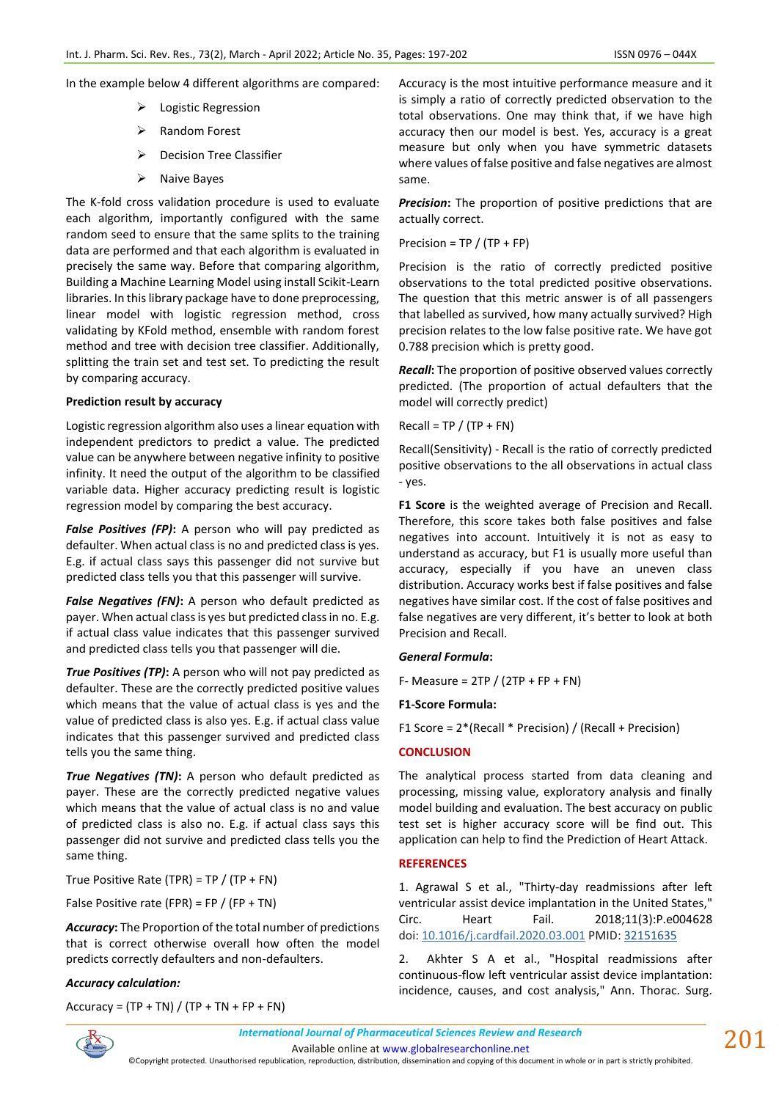In the example below 4 different algorithms are compared:

- ➢ Logistic Regression
- ➢ Random Forest
- ➢ Decision Tree Classifier
- ➢ Naive Bayes

The K-fold cross validation procedure is used to evaluate each algorithm, importantly configured with the same random seed to ensure that the same splits to the training data are performed and that each algorithm is evaluated in precisely the same way. Before that comparing algorithm, Building a Machine Learning Model using install Scikit-Learn libraries. In this library package have to done preprocessing, linear model with logistic regression method, cross validating by KFold method, ensemble with random forest method and tree with decision tree classifier. Additionally, splitting the train set and test set. To predicting the result by comparing accuracy.

#### **Prediction result by accuracy**

Logistic regression algorithm also uses a linear equation with independent predictors to predict a value. The predicted value can be anywhere between negative infinity to positive infinity. It need the output of the algorithm to be classified variable data. Higher accuracy predicting result is logistic regression model by comparing the best accuracy.

*False Positives (FP)***:** A person who will pay predicted as defaulter. When actual class is no and predicted class is yes. E.g. if actual class says this passenger did not survive but predicted class tells you that this passenger will survive.

*False Negatives (FN)*: A person who default predicted as payer. When actual class is yes but predicted class in no. E.g. if actual class value indicates that this passenger survived and predicted class tells you that passenger will die.

*True Positives (TP)***:** A person who will not pay predicted as defaulter. These are the correctly predicted positive values which means that the value of actual class is yes and the value of predicted class is also yes. E.g. if actual class value indicates that this passenger survived and predicted class tells you the same thing.

*True Negatives (TN)***:** A person who default predicted as payer. These are the correctly predicted negative values which means that the value of actual class is no and value of predicted class is also no. E.g. if actual class says this passenger did not survive and predicted class tells you the same thing.

True Positive Rate (TPR) = TP / (TP + FN)

False Positive rate (FPR) = FP / (FP + TN)

*Accuracy***:** The Proportion of the total number of predictions that is correct otherwise overall how often the model predicts correctly defaulters and non-defaulters.

#### *Accuracy calculation:*

Accuracy =  $(TP + TN) / (TP + TN + FP + FN)$ 

Accuracy is the most intuitive performance measure and it is simply a ratio of correctly predicted observation to the total observations. One may think that, if we have high accuracy then our model is best. Yes, accuracy is a great measure but only when you have symmetric datasets where values of false positive and false negatives are almost same.

*Precision***:** The proportion of positive predictions that are actually correct.

Precision =  $TP / (TP + FP)$ 

Precision is the ratio of correctly predicted positive observations to the total predicted positive observations. The question that this metric answer is of all passengers that labelled as survived, how many actually survived? High precision relates to the low false positive rate. We have got 0.788 precision which is pretty good.

*Recall***:** The proportion of positive observed values correctly predicted. (The proportion of actual defaulters that the model will correctly predict)

 $Recall = TP / (TP + FN)$ 

Recall(Sensitivity) - Recall is the ratio of correctly predicted positive observations to the all observations in actual class - yes.

**F1 Score** is the weighted average of Precision and Recall. Therefore, this score takes both false positives and false negatives into account. Intuitively it is not as easy to understand as accuracy, but F1 is usually more useful than accuracy, especially if you have an uneven class distribution. Accuracy works best if false positives and false negatives have similar cost. If the cost of false positives and false negatives are very different, it's better to look at both Precision and Recall.

### *General Formula***:**

F- Measure =  $2TP / (2TP + FP + FN)$ 

#### **F1-Score Formula:**

F1 Score = 2\*(Recall \* Precision) / (Recall + Precision)

#### **CONCLUSION**

The analytical process started from data cleaning and processing, missing value, exploratory analysis and finally model building and evaluation. The best accuracy on public test set is higher accuracy score will be find out. This application can help to find the Prediction of Heart Attack.

# **REFERENCES**

1. Agrawal S et al., "Thirty-day readmissions after left ventricular assist device implantation in the United States," Circ. Heart Fail. 2018;11(3):P.e004628 doi: [10.1016/j.cardfail.2020.03.001](https://dx.doi.org/10.1016%2Fj.cardfail.2020.03.001) PMID: [32151635](https://www.ncbi.nlm.nih.gov/pubmed/32151635)

2. Akhter S A et al., "Hospital readmissions after continuous-flow left ventricular assist device implantation: incidence, causes, and cost analysis," Ann. Thorac. Surg.



*International Journal of Pharmaceutical Sciences Review and Research International Journal of Pharmaceutical Sciences Review and Research*

Available online a[t www.globalresearchonline.net](http://www.globalresearchonline.net/)

©Copyright protected. Unauthorised republication, reproduction, distribution, dissemination and copying of this document in whole or in part is strictly prohibited.